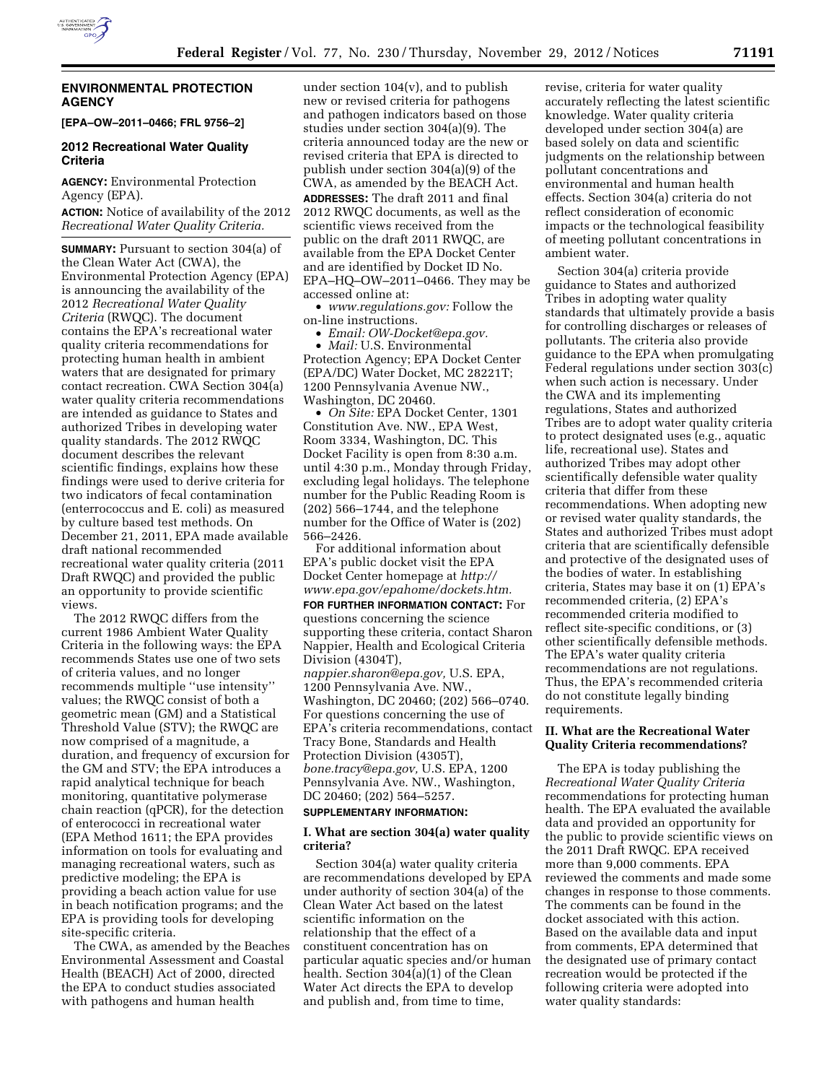

# **ENVIRONMENTAL PROTECTION AGENCY**

**[EPA–OW–2011–0466; FRL 9756–2]** 

# **2012 Recreational Water Quality Criteria**

**AGENCY:** Environmental Protection Agency (EPA).

**ACTION:** Notice of availability of the 2012 *Recreational Water Quality Criteria.* 

**SUMMARY:** Pursuant to section 304(a) of the Clean Water Act (CWA), the Environmental Protection Agency (EPA) is announcing the availability of the 2012 *Recreational Water Quality Criteria* (RWQC). The document contains the EPA's recreational water quality criteria recommendations for protecting human health in ambient waters that are designated for primary contact recreation. CWA Section 304(a) water quality criteria recommendations are intended as guidance to States and authorized Tribes in developing water quality standards. The 2012 RWQC document describes the relevant scientific findings, explains how these findings were used to derive criteria for two indicators of fecal contamination (enterrococcus and E. coli) as measured by culture based test methods. On December 21, 2011, EPA made available draft national recommended recreational water quality criteria (2011 Draft RWQC) and provided the public an opportunity to provide scientific views.

The 2012 RWQC differs from the current 1986 Ambient Water Quality Criteria in the following ways: the EPA recommends States use one of two sets of criteria values, and no longer recommends multiple ''use intensity'' values; the RWQC consist of both a geometric mean (GM) and a Statistical Threshold Value (STV); the RWQC are now comprised of a magnitude, a duration, and frequency of excursion for the GM and STV; the EPA introduces a rapid analytical technique for beach monitoring, quantitative polymerase chain reaction (qPCR), for the detection of enterococci in recreational water (EPA Method 1611; the EPA provides information on tools for evaluating and managing recreational waters, such as predictive modeling; the EPA is providing a beach action value for use in beach notification programs; and the EPA is providing tools for developing site-specific criteria.

The CWA, as amended by the Beaches Environmental Assessment and Coastal Health (BEACH) Act of 2000, directed the EPA to conduct studies associated with pathogens and human health

under section 104(v), and to publish new or revised criteria for pathogens and pathogen indicators based on those studies under section 304(a)(9). The criteria announced today are the new or revised criteria that EPA is directed to publish under section 304(a)(9) of the CWA, as amended by the BEACH Act.

**ADDRESSES:** The draft 2011 and final 2012 RWQC documents, as well as the scientific views received from the public on the draft 2011 RWQC, are available from the EPA Docket Center and are identified by Docket ID No. EPA–HQ–OW–2011–0466. They may be accessed online at:

• *[www.regulations.gov:](http://www.regulations.gov)* Follow the on-line instructions.

• *Email: [OW-Docket@epa.gov.](mailto:OW-Docket@epa.gov)* 

• *Mail:* U.S. Environmental Protection Agency; EPA Docket Center (EPA/DC) Water Docket, MC 28221T; 1200 Pennsylvania Avenue NW., Washington, DC 20460.

• *On Site:* EPA Docket Center, 1301 Constitution Ave. NW., EPA West, Room 3334, Washington, DC. This Docket Facility is open from 8:30 a.m. until 4:30 p.m., Monday through Friday, excluding legal holidays. The telephone number for the Public Reading Room is (202) 566–1744, and the telephone number for the Office of Water is (202) 566–2426.

For additional information about EPA's public docket visit the EPA Docket Center homepage at *[http://](http://www.epa.gov/epahome/dockets.htm) [www.epa.gov/epahome/dockets.htm.](http://www.epa.gov/epahome/dockets.htm)* 

**FOR FURTHER INFORMATION CONTACT:** For questions concerning the science supporting these criteria, contact Sharon Nappier, Health and Ecological Criteria Division (4304T), *[nappier.sharon@epa.gov,](mailto:nappier.sharon@epa.gov)* U.S. EPA, 1200 Pennsylvania Ave. NW., Washington, DC 20460; (202) 566–0740. For questions concerning the use of EPA's criteria recommendations, contact Tracy Bone, Standards and Health Protection Division (4305T), *[bone.tracy@epa.gov,](mailto:bone.tracy@epa.gov)* U.S. EPA, 1200 Pennsylvania Ave. NW., Washington, DC 20460; (202) 564–5257.

### **SUPPLEMENTARY INFORMATION:**

# **I. What are section 304(a) water quality criteria?**

Section 304(a) water quality criteria are recommendations developed by EPA under authority of section 304(a) of the Clean Water Act based on the latest scientific information on the relationship that the effect of a constituent concentration has on particular aquatic species and/or human health. Section 304(a)(1) of the Clean Water Act directs the EPA to develop and publish and, from time to time,

revise, criteria for water quality accurately reflecting the latest scientific knowledge. Water quality criteria developed under section 304(a) are based solely on data and scientific judgments on the relationship between pollutant concentrations and environmental and human health effects. Section 304(a) criteria do not reflect consideration of economic impacts or the technological feasibility of meeting pollutant concentrations in ambient water.

Section 304(a) criteria provide guidance to States and authorized Tribes in adopting water quality standards that ultimately provide a basis for controlling discharges or releases of pollutants. The criteria also provide guidance to the EPA when promulgating Federal regulations under section 303(c) when such action is necessary. Under the CWA and its implementing regulations, States and authorized Tribes are to adopt water quality criteria to protect designated uses (e.g., aquatic life, recreational use). States and authorized Tribes may adopt other scientifically defensible water quality criteria that differ from these recommendations. When adopting new or revised water quality standards, the States and authorized Tribes must adopt criteria that are scientifically defensible and protective of the designated uses of the bodies of water. In establishing criteria, States may base it on (1) EPA's recommended criteria, (2) EPA's recommended criteria modified to reflect site-specific conditions, or (3) other scientifically defensible methods. The EPA's water quality criteria recommendations are not regulations. Thus, the EPA's recommended criteria do not constitute legally binding requirements.

# **II. What are the Recreational Water Quality Criteria recommendations?**

The EPA is today publishing the *Recreational Water Quality Criteria*  recommendations for protecting human health. The EPA evaluated the available data and provided an opportunity for the public to provide scientific views on the 2011 Draft RWQC. EPA received more than 9,000 comments. EPA reviewed the comments and made some changes in response to those comments. The comments can be found in the docket associated with this action. Based on the available data and input from comments, EPA determined that the designated use of primary contact recreation would be protected if the following criteria were adopted into water quality standards: